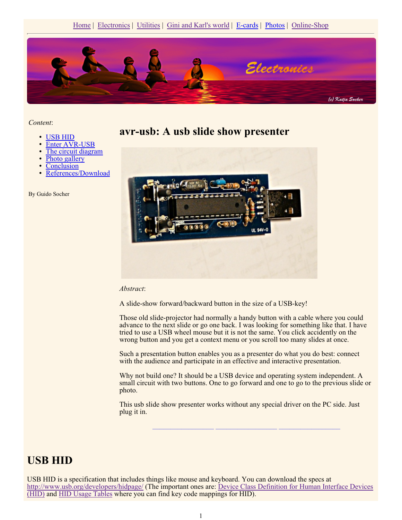

*Content*:

- USB HID
- Enter AVR-USB
- The circuit diagram
- Photo gallery
- **Conclusion**
- References/Download

By Guido Socher

**avr-usb: A usb slide show presenter**



#### *Abstract*:

A slide-show forward/backward button in the size of a USB-key!

Those old slide-projector had normally a handy button with a cable where you could advance to the next slide or go one back. I was looking for something like that. I have tried to use a USB wheel mouse but it is not the same. You click accidently on the wrong button and you get a context menu or you scroll too many slides at once.

Such a presentation button enables you as a presenter do what you do best: connect with the audience and participate in an effective and interactive presentation.

Why not build one? It should be a USB device and operating system independent. A small circuit with two buttons. One to go forward and one to go to the previous slide or photo.

**\_\_\_\_\_\_\_\_\_\_\_\_\_\_\_\_\_ \_\_\_\_\_\_\_\_\_\_\_\_\_\_\_\_\_ \_\_\_\_\_\_\_\_\_\_\_\_\_\_\_\_\_**

This usb slide show presenter works without any special driver on the PC side. Just plug it in.

#### **USB HID**

USB HID is a specification that includes things like mouse and keyboard. You can download the specs at http://www.usb.org/developers/hidpage/ (The important ones are: Device Class Definition for Human Interface Devices (HID) and HID Usage Tables where you can find key code mappings for HID).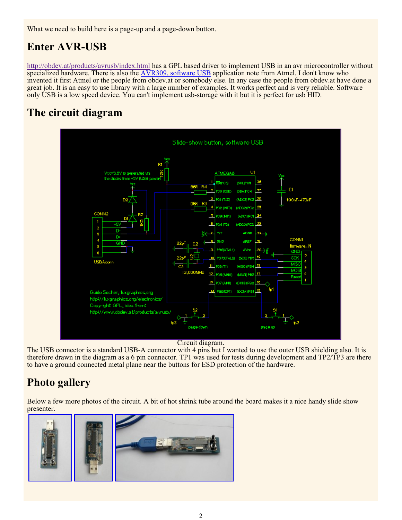What we need to build here is a page-up and a page-down button.

# **Enter AVR-USB**

http://obdev.at/products/avrusb/index.html has a GPL based driver to implement USB in an avr microcontroller without specialized hardware. There is also the AVR309, software USB application note from Atmel. I don't know who invented it first Atmel or the people from obdev.at or somebody else. In any case the people from obdev.at have done a great job. It is an easy to use library with a large number of examples. It works perfect and is very reliable. Software only USB is a low speed device. You can't implement usb-storage with it but it is perfect for usb HID.

# **The circuit diagram**



Circuit diagram.

The USB connector is a standard USB-A connector with 4 pins but I wanted to use the outer USB shielding also. It is therefore drawn in the diagram as a 6 pin connector. TP1 was used for tests during development and TP2/TP3 are there to have a ground connected metal plane near the buttons for ESD protection of the hardware.

# **Photo gallery**

Below a few more photos of the circuit. A bit of hot shrink tube around the board makes it a nice handy slide show presenter.